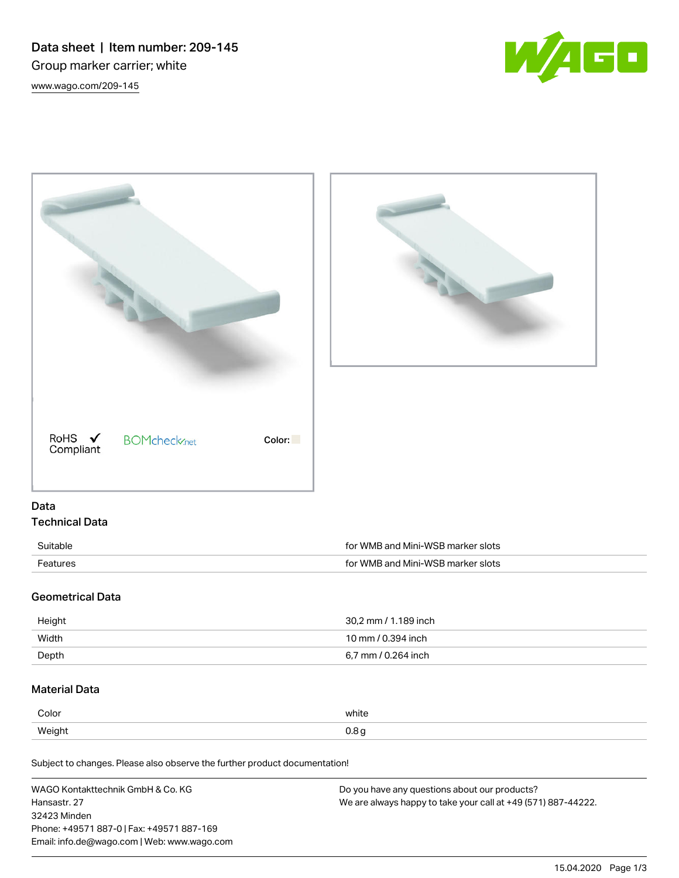Data sheet | Item number: 209-145 Group marker carrier; white [www.wago.com/209-145](http://www.wago.com/209-145)





Subject to changes. Please also observe the further product documentation!

| WAGO Kontakttechnik GmbH & Co. KG           | Do you have any questions about our products?                 |
|---------------------------------------------|---------------------------------------------------------------|
| Hansastr. 27                                | We are always happy to take your call at +49 (571) 887-44222. |
| 32423 Minden                                |                                                               |
| Phone: +49571 887-01 Fax: +49571 887-169    |                                                               |
| Email: info.de@wago.com   Web: www.wago.com |                                                               |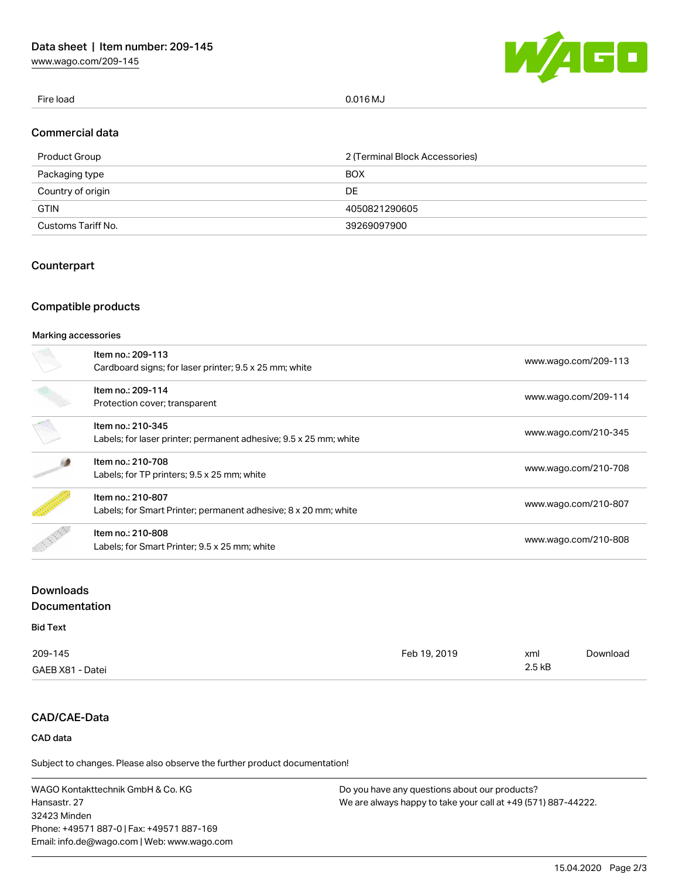[www.wago.com/209-145](http://www.wago.com/209-145)



Fire load 0.016 MJ

## Commercial data

| Product Group      | 2 (Terminal Block Accessories) |
|--------------------|--------------------------------|
| Packaging type     | <b>BOX</b>                     |
| Country of origin  | DE                             |
| <b>GTIN</b>        | 4050821290605                  |
| Customs Tariff No. | 39269097900                    |

# **Counterpart**

# Compatible products

#### Marking accessories

| Item no.: 209-113<br>Cardboard signs; for laser printer; 9.5 x 25 mm; white            | www.wago.com/209-113 |
|----------------------------------------------------------------------------------------|----------------------|
| Item no.: 209-114<br>Protection cover; transparent                                     | www.wago.com/209-114 |
| Item no.: 210-345<br>Labels; for laser printer; permanent adhesive; 9.5 x 25 mm; white | www.wago.com/210-345 |
| Item no.: 210-708<br>Labels; for TP printers; 9.5 x 25 mm; white                       | www.wago.com/210-708 |
| Item no.: 210-807<br>Labels; for Smart Printer; permanent adhesive; 8 x 20 mm; white   | www.wago.com/210-807 |
| Item no.: 210-808<br>Labels; for Smart Printer; 9.5 x 25 mm; white                     | www.wago.com/210-808 |

# Downloads Documentation

## Bid Text

| 209-145          | Feb 19, 2019 | xml      | Download |
|------------------|--------------|----------|----------|
| GAEB X81 - Datei |              | $2.5$ kB |          |

# CAD/CAE-Data

# CAD data

Subject to changes. Please also observe the further product documentation!

WAGO Kontakttechnik GmbH & Co. KG Hansastr. 27 32423 Minden Phone: +49571 887-0 | Fax: +49571 887-169 Email: info.de@wago.com | Web: www.wago.com

Do you have any questions about our products? We are always happy to take your call at +49 (571) 887-44222.